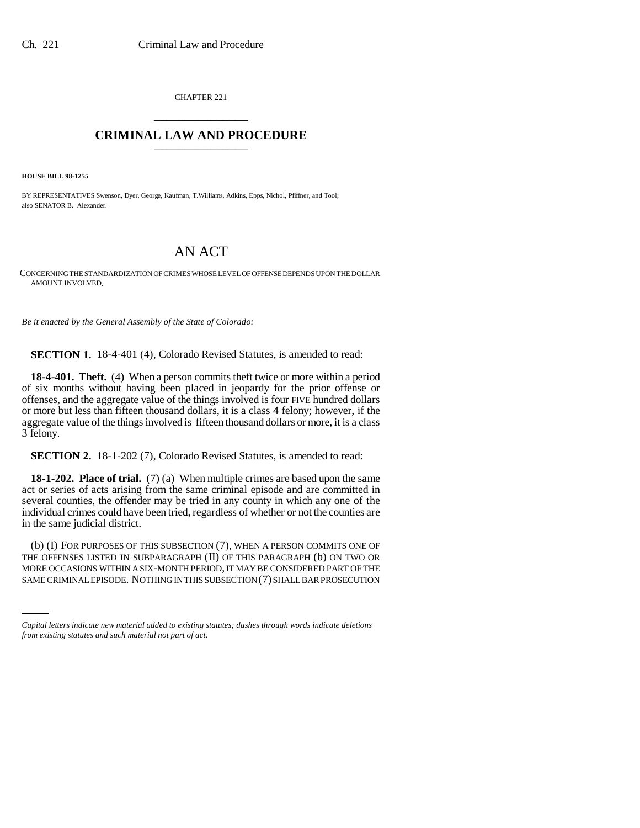CHAPTER 221 \_\_\_\_\_\_\_\_\_\_\_\_\_\_\_

## **CRIMINAL LAW AND PROCEDURE** \_\_\_\_\_\_\_\_\_\_\_\_\_\_\_

**HOUSE BILL 98-1255**

BY REPRESENTATIVES Swenson, Dyer, George, Kaufman, T.Williams, Adkins, Epps, Nichol, Pfiffner, and Tool; also SENATOR B. Alexander.

# AN ACT

CONCERNING THE STANDARDIZATION OF CRIMES WHOSE LEVEL OF OFFENSE DEPENDS UPON THE DOLLAR AMOUNT INVOLVED.

*Be it enacted by the General Assembly of the State of Colorado:*

**SECTION 1.** 18-4-401 (4), Colorado Revised Statutes, is amended to read:

**18-4-401. Theft.** (4) When a person commits theft twice or more within a period of six months without having been placed in jeopardy for the prior offense or offenses, and the aggregate value of the things involved is four FIVE hundred dollars or more but less than fifteen thousand dollars, it is a class 4 felony; however, if the aggregate value of the things involved is fifteen thousand dollars or more, it is a class 3 felony.

**SECTION 2.** 18-1-202 (7), Colorado Revised Statutes, is amended to read:

**18-1-202. Place of trial.** (7) (a) When multiple crimes are based upon the same act or series of acts arising from the same criminal episode and are committed in several counties, the offender may be tried in any county in which any one of the individual crimes could have been tried, regardless of whether or not the counties are in the same judicial district.

THE OFFENSES LISTED IN SUBPARAGRAPH (II) OF THIS PARAGRAPH (b) ON TWO OR (b) (I) FOR PURPOSES OF THIS SUBSECTION (7), WHEN A PERSON COMMITS ONE OF MORE OCCASIONS WITHIN A SIX-MONTH PERIOD, IT MAY BE CONSIDERED PART OF THE SAME CRIMINAL EPISODE. NOTHING IN THIS SUBSECTION (7) SHALL BAR PROSECUTION

*Capital letters indicate new material added to existing statutes; dashes through words indicate deletions from existing statutes and such material not part of act.*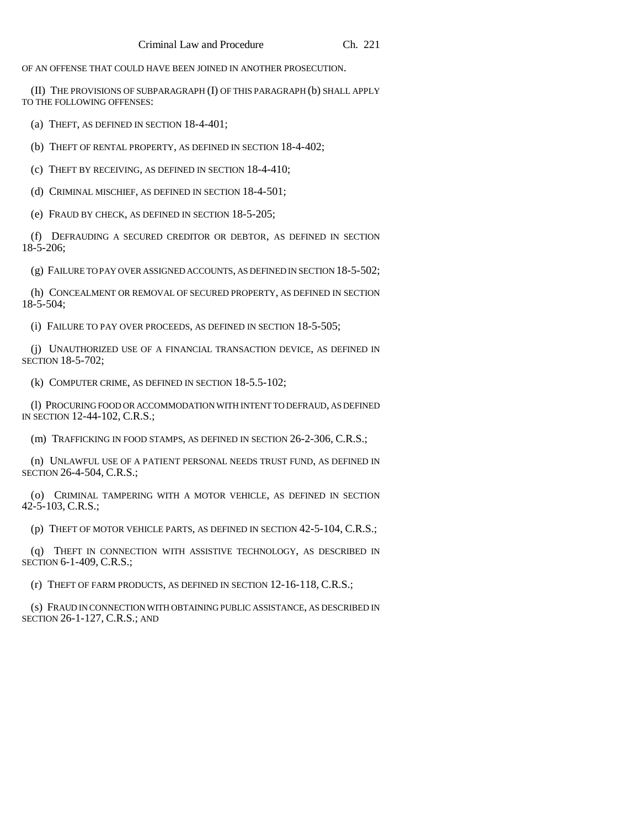OF AN OFFENSE THAT COULD HAVE BEEN JOINED IN ANOTHER PROSECUTION.

(II) THE PROVISIONS OF SUBPARAGRAPH (I) OF THIS PARAGRAPH (b) SHALL APPLY TO THE FOLLOWING OFFENSES:

(a) THEFT, AS DEFINED IN SECTION 18-4-401;

(b) THEFT OF RENTAL PROPERTY, AS DEFINED IN SECTION 18-4-402;

(c) THEFT BY RECEIVING, AS DEFINED IN SECTION 18-4-410;

(d) CRIMINAL MISCHIEF, AS DEFINED IN SECTION 18-4-501;

(e) FRAUD BY CHECK, AS DEFINED IN SECTION 18-5-205;

(f) DEFRAUDING A SECURED CREDITOR OR DEBTOR, AS DEFINED IN SECTION 18-5-206;

(g) FAILURE TO PAY OVER ASSIGNED ACCOUNTS, AS DEFINED IN SECTION 18-5-502;

(h) CONCEALMENT OR REMOVAL OF SECURED PROPERTY, AS DEFINED IN SECTION 18-5-504;

(i) FAILURE TO PAY OVER PROCEEDS, AS DEFINED IN SECTION 18-5-505;

(j) UNAUTHORIZED USE OF A FINANCIAL TRANSACTION DEVICE, AS DEFINED IN SECTION 18-5-702;

(k) COMPUTER CRIME, AS DEFINED IN SECTION 18-5.5-102;

(l) PROCURING FOOD OR ACCOMMODATION WITH INTENT TO DEFRAUD, AS DEFINED IN SECTION 12-44-102, C.R.S.;

(m) TRAFFICKING IN FOOD STAMPS, AS DEFINED IN SECTION 26-2-306, C.R.S.;

(n) UNLAWFUL USE OF A PATIENT PERSONAL NEEDS TRUST FUND, AS DEFINED IN SECTION 26-4-504, C.R.S.;

(o) CRIMINAL TAMPERING WITH A MOTOR VEHICLE, AS DEFINED IN SECTION 42-5-103, C.R.S.;

(p) THEFT OF MOTOR VEHICLE PARTS, AS DEFINED IN SECTION 42-5-104, C.R.S.;

(q) THEFT IN CONNECTION WITH ASSISTIVE TECHNOLOGY, AS DESCRIBED IN SECTION 6-1-409, C.R.S.;

(r) THEFT OF FARM PRODUCTS, AS DEFINED IN SECTION 12-16-118, C.R.S.;

(s) FRAUD IN CONNECTION WITH OBTAINING PUBLIC ASSISTANCE, AS DESCRIBED IN SECTION 26-1-127, C.R.S.; AND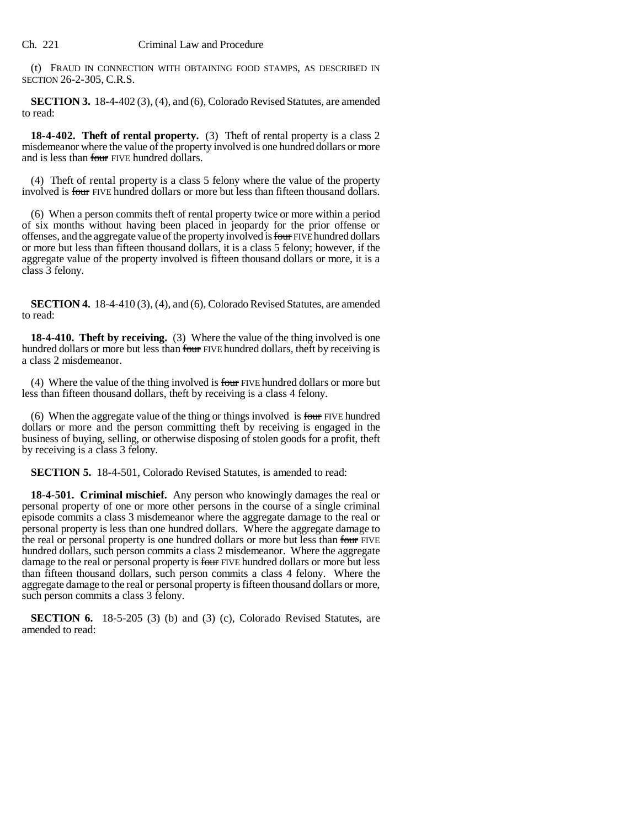(t) FRAUD IN CONNECTION WITH OBTAINING FOOD STAMPS, AS DESCRIBED IN SECTION 26-2-305, C.R.S.

**SECTION 3.** 18-4-402 (3), (4), and (6), Colorado Revised Statutes, are amended to read:

**18-4-402. Theft of rental property.** (3) Theft of rental property is a class 2 misdemeanor where the value of the property involved is one hundred dollars or more and is less than four FIVE hundred dollars.

(4) Theft of rental property is a class 5 felony where the value of the property involved is four FIVE hundred dollars or more but less than fifteen thousand dollars.

(6) When a person commits theft of rental property twice or more within a period of six months without having been placed in jeopardy for the prior offense or offenses, and the aggregate value of the property involved is four FIVE hundred dollars or more but less than fifteen thousand dollars, it is a class 5 felony; however, if the aggregate value of the property involved is fifteen thousand dollars or more, it is a class 3 felony.

**SECTION 4.** 18-4-410 (3), (4), and (6), Colorado Revised Statutes, are amended to read:

**18-4-410. Theft by receiving.** (3) Where the value of the thing involved is one hundred dollars or more but less than four FIVE hundred dollars, theft by receiving is a class 2 misdemeanor.

(4) Where the value of the thing involved is four FIVE hundred dollars or more but less than fifteen thousand dollars, theft by receiving is a class 4 felony.

(6) When the aggregate value of the thing or things involved is four FIVE hundred dollars or more and the person committing theft by receiving is engaged in the business of buying, selling, or otherwise disposing of stolen goods for a profit, theft by receiving is a class 3 felony.

**SECTION 5.** 18-4-501, Colorado Revised Statutes, is amended to read:

**18-4-501. Criminal mischief.** Any person who knowingly damages the real or personal property of one or more other persons in the course of a single criminal episode commits a class 3 misdemeanor where the aggregate damage to the real or personal property is less than one hundred dollars. Where the aggregate damage to the real or personal property is one hundred dollars or more but less than four FIVE hundred dollars, such person commits a class 2 misdemeanor. Where the aggregate damage to the real or personal property is four FIVE hundred dollars or more but less than fifteen thousand dollars, such person commits a class 4 felony. Where the aggregate damage to the real or personal property is fifteen thousand dollars or more, such person commits a class 3 felony.

**SECTION 6.** 18-5-205 (3) (b) and (3) (c), Colorado Revised Statutes, are amended to read: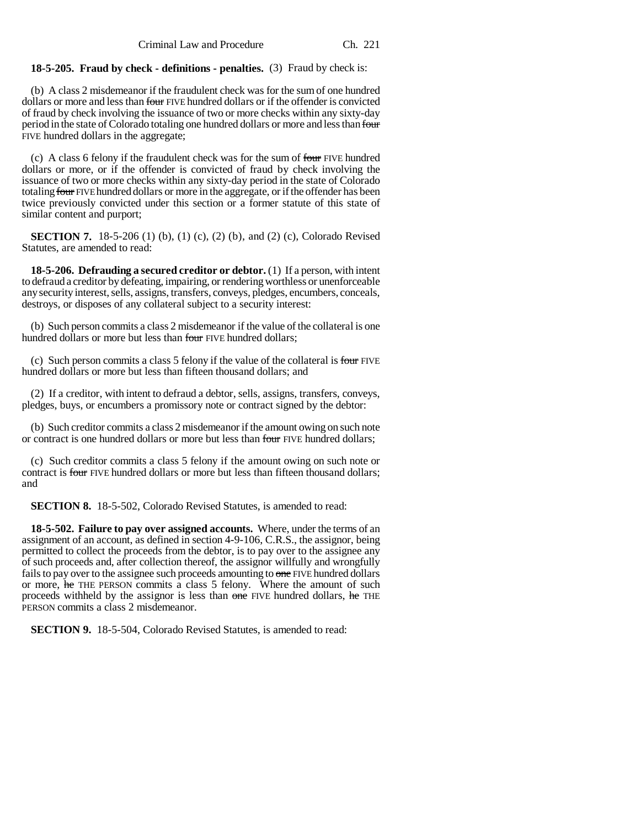#### **18-5-205. Fraud by check - definitions - penalties.** (3) Fraud by check is:

(b) A class 2 misdemeanor if the fraudulent check was for the sum of one hundred dollars or more and less than four FIVE hundred dollars or if the offender is convicted of fraud by check involving the issuance of two or more checks within any sixty-day period in the state of Colorado totaling one hundred dollars or more and less than four FIVE hundred dollars in the aggregate;

(c) A class 6 felony if the fraudulent check was for the sum of four FIVE hundred dollars or more, or if the offender is convicted of fraud by check involving the issuance of two or more checks within any sixty-day period in the state of Colorado totaling four FIVE hundred dollars or more in the aggregate, or if the offender has been twice previously convicted under this section or a former statute of this state of similar content and purport;

**SECTION 7.** 18-5-206 (1) (b), (1) (c), (2) (b), and (2) (c), Colorado Revised Statutes, are amended to read:

**18-5-206. Defrauding a secured creditor or debtor.** (1) If a person, with intent to defraud a creditor by defeating, impairing, or rendering worthless or unenforceable any security interest, sells, assigns, transfers, conveys, pledges, encumbers, conceals, destroys, or disposes of any collateral subject to a security interest:

(b) Such person commits a class 2 misdemeanor if the value of the collateral is one hundred dollars or more but less than four FIVE hundred dollars;

(c) Such person commits a class 5 felony if the value of the collateral is four FIVE hundred dollars or more but less than fifteen thousand dollars; and

(2) If a creditor, with intent to defraud a debtor, sells, assigns, transfers, conveys, pledges, buys, or encumbers a promissory note or contract signed by the debtor:

(b) Such creditor commits a class 2 misdemeanor if the amount owing on such note or contract is one hundred dollars or more but less than four FIVE hundred dollars;

(c) Such creditor commits a class 5 felony if the amount owing on such note or contract is four FIVE hundred dollars or more but less than fifteen thousand dollars; and

**SECTION 8.** 18-5-502, Colorado Revised Statutes, is amended to read:

**18-5-502. Failure to pay over assigned accounts.** Where, under the terms of an assignment of an account, as defined in section 4-9-106, C.R.S., the assignor, being permitted to collect the proceeds from the debtor, is to pay over to the assignee any of such proceeds and, after collection thereof, the assignor willfully and wrongfully fails to pay over to the assignee such proceeds amounting to one FIVE hundred dollars or more, he THE PERSON commits a class 5 felony. Where the amount of such proceeds withheld by the assignor is less than one FIVE hundred dollars, he THE PERSON commits a class 2 misdemeanor.

**SECTION 9.** 18-5-504, Colorado Revised Statutes, is amended to read: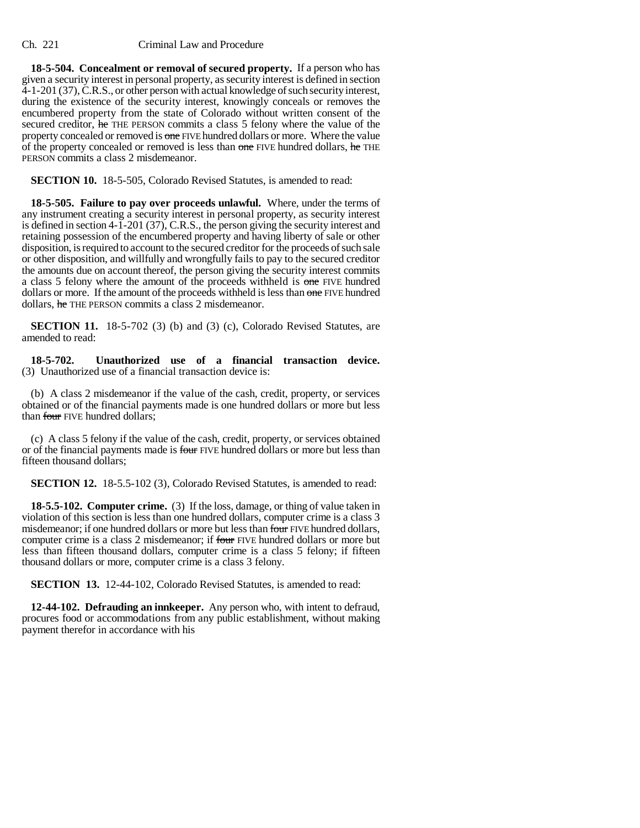#### Ch. 221 Criminal Law and Procedure

**18-5-504. Concealment or removal of secured property.** If a person who has given a security interest in personal property, as security interest is defined in section 4-1-201 (37), C.R.S., or other person with actual knowledge of such security interest, during the existence of the security interest, knowingly conceals or removes the encumbered property from the state of Colorado without written consent of the secured creditor, he THE PERSON commits a class 5 felony where the value of the property concealed or removed is one FIVE hundred dollars or more. Where the value of the property concealed or removed is less than one FIVE hundred dollars, he THE PERSON commits a class 2 misdemeanor.

**SECTION 10.** 18-5-505, Colorado Revised Statutes, is amended to read:

**18-5-505. Failure to pay over proceeds unlawful.** Where, under the terms of any instrument creating a security interest in personal property, as security interest is defined in section 4-1-201 (37), C.R.S., the person giving the security interest and retaining possession of the encumbered property and having liberty of sale or other disposition, is required to account to the secured creditor for the proceeds of such sale or other disposition, and willfully and wrongfully fails to pay to the secured creditor the amounts due on account thereof, the person giving the security interest commits a class 5 felony where the amount of the proceeds withheld is one FIVE hundred dollars or more. If the amount of the proceeds withheld is less than one FIVE hundred dollars, he THE PERSON commits a class 2 misdemeanor.

**SECTION 11.** 18-5-702 (3) (b) and (3) (c), Colorado Revised Statutes, are amended to read:

**18-5-702. Unauthorized use of a financial transaction device.** (3) Unauthorized use of a financial transaction device is:

(b) A class 2 misdemeanor if the value of the cash, credit, property, or services obtained or of the financial payments made is one hundred dollars or more but less than four FIVE hundred dollars:

(c) A class 5 felony if the value of the cash, credit, property, or services obtained or of the financial payments made is four FIVE hundred dollars or more but less than fifteen thousand dollars;

**SECTION 12.** 18-5.5-102 (3), Colorado Revised Statutes, is amended to read:

**18-5.5-102. Computer crime.** (3) If the loss, damage, or thing of value taken in violation of this section is less than one hundred dollars, computer crime is a class 3 misdemeanor; if one hundred dollars or more but less than four FIVE hundred dollars, computer crime is a class 2 misdemeanor; if four FIVE hundred dollars or more but less than fifteen thousand dollars, computer crime is a class 5 felony; if fifteen thousand dollars or more, computer crime is a class 3 felony.

**SECTION 13.** 12-44-102, Colorado Revised Statutes, is amended to read:

**12-44-102. Defrauding an innkeeper.** Any person who, with intent to defraud, procures food or accommodations from any public establishment, without making payment therefor in accordance with his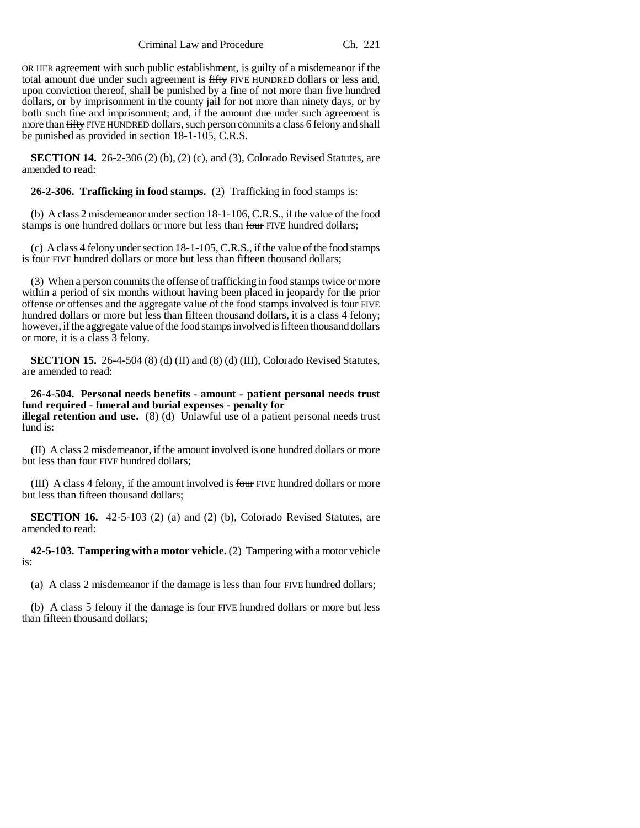Criminal Law and Procedure Ch. 221

OR HER agreement with such public establishment, is guilty of a misdemeanor if the total amount due under such agreement is fifty FIVE HUNDRED dollars or less and, upon conviction thereof, shall be punished by a fine of not more than five hundred dollars, or by imprisonment in the county jail for not more than ninety days, or by both such fine and imprisonment; and, if the amount due under such agreement is more than fifty FIVE HUNDRED dollars, such person commits a class 6 felony and shall be punished as provided in section 18-1-105, C.R.S.

**SECTION 14.** 26-2-306 (2) (b), (2) (c), and (3), Colorado Revised Statutes, are amended to read:

**26-2-306. Trafficking in food stamps.** (2) Trafficking in food stamps is:

(b) A class 2 misdemeanor under section 18-1-106, C.R.S., if the value of the food stamps is one hundred dollars or more but less than four FIVE hundred dollars;

(c) A class 4 felony under section 18-1-105, C.R.S., if the value of the food stamps is four FIVE hundred dollars or more but less than fifteen thousand dollars;

(3) When a person commits the offense of trafficking in food stamps twice or more within a period of six months without having been placed in jeopardy for the prior offense or offenses and the aggregate value of the food stamps involved is four FIVE hundred dollars or more but less than fifteen thousand dollars, it is a class 4 felony; however, if the aggregate value of the food stamps involved is fifteen thousand dollars or more, it is a class 3 felony.

**SECTION 15.** 26-4-504 (8) (d) (II) and (8) (d) (III), Colorado Revised Statutes, are amended to read:

**26-4-504. Personal needs benefits - amount - patient personal needs trust fund required - funeral and burial expenses - penalty for illegal retention and use.** (8) (d) Unlawful use of a patient personal needs trust fund is:

(II) A class 2 misdemeanor, if the amount involved is one hundred dollars or more but less than four FIVE hundred dollars;

(III) A class 4 felony, if the amount involved is four FIVE hundred dollars or more but less than fifteen thousand dollars;

**SECTION 16.** 42-5-103 (2) (a) and (2) (b), Colorado Revised Statutes, are amended to read:

**42-5-103. Tampering with a motor vehicle.** (2) Tampering with a motor vehicle is:

(a) A class 2 misdemeanor if the damage is less than four FIVE hundred dollars;

(b) A class 5 felony if the damage is four FIVE hundred dollars or more but less than fifteen thousand dollars;